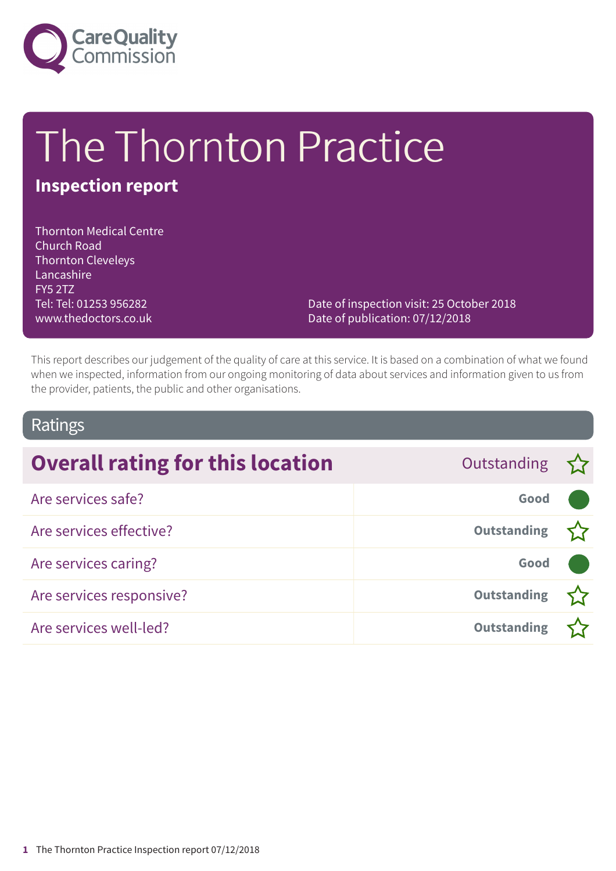

# The Thornton Practice

# **Inspection report**

Thornton Medical Centre Church Road Thornton Cleveleys Lancashire FY5 2TZ Tel: Tel: 01253 956282 www.thedoctors.co.uk

Date of inspection visit: 25 October 2018 Date of publication: 07/12/2018

This report describes our judgement of the quality of care at this service. It is based on a combination of what we found when we inspected, information from our ongoing monitoring of data about services and information given to us from the provider, patients, the public and other organisations.

### Ratings

| <b>Overall rating for this location</b> | Outstanding $\sum$ |  |
|-----------------------------------------|--------------------|--|
| Are services safe?                      | Good               |  |
| Are services effective?                 | <b>Outstanding</b> |  |
| Are services caring?                    | Good               |  |
| Are services responsive?                | <b>Outstanding</b> |  |
| Are services well-led?                  | <b>Outstanding</b> |  |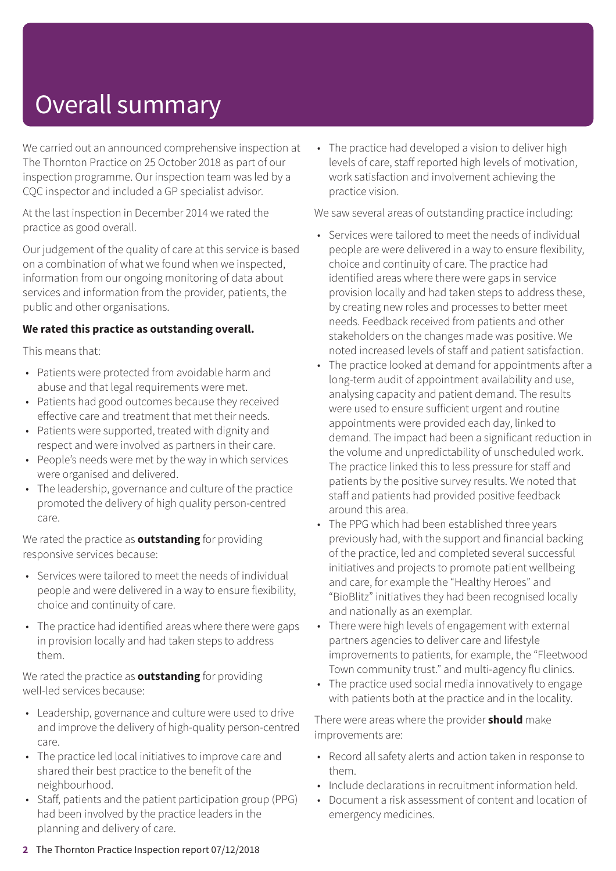# Overall summary

We carried out an announced comprehensive inspection at The Thornton Practice on 25 October 2018 as part of our inspection programme. Our inspection team was led by a CQC inspector and included a GP specialist advisor.

At the last inspection in December 2014 we rated the practice as good overall.

Our judgement of the quality of care at this service is based on a combination of what we found when we inspected, information from our ongoing monitoring of data about services and information from the provider, patients, the public and other organisations.

#### **We rated this practice as outstanding overall.**

This means that:

- Patients were protected from avoidable harm and abuse and that legal requirements were met.
- Patients had good outcomes because they received effective care and treatment that met their needs.
- Patients were supported, treated with dignity and respect and were involved as partners in their care.
- People's needs were met by the way in which services were organised and delivered.
- The leadership, governance and culture of the practice promoted the delivery of high quality person-centred care.

We rated the practice as **outstanding** for providing responsive services because:

- Services were tailored to meet the needs of individual people and were delivered in a way to ensure flexibility, choice and continuity of care.
- The practice had identified areas where there were gaps in provision locally and had taken steps to address them.

We rated the practice as **outstanding** for providing well-led services because:

- Leadership, governance and culture were used to drive and improve the delivery of high-quality person-centred care.
- The practice led local initiatives to improve care and shared their best practice to the benefit of the neighbourhood.
- Staff, patients and the patient participation group (PPG) had been involved by the practice leaders in the planning and delivery of care.

• The practice had developed a vision to deliver high levels of care, staff reported high levels of motivation, work satisfaction and involvement achieving the practice vision.

We saw several areas of outstanding practice including:

- Services were tailored to meet the needs of individual people are were delivered in a way to ensure flexibility, choice and continuity of care. The practice had identified areas where there were gaps in service provision locally and had taken steps to address these, by creating new roles and processes to better meet needs. Feedback received from patients and other stakeholders on the changes made was positive. We noted increased levels of staff and patient satisfaction.
- The practice looked at demand for appointments after a long-term audit of appointment availability and use, analysing capacity and patient demand. The results were used to ensure sufficient urgent and routine appointments were provided each day, linked to demand. The impact had been a significant reduction in the volume and unpredictability of unscheduled work. The practice linked this to less pressure for staff and patients by the positive survey results. We noted that staff and patients had provided positive feedback around this area.
- The PPG which had been established three years previously had, with the support and financial backing of the practice, led and completed several successful initiatives and projects to promote patient wellbeing and care, for example the "Healthy Heroes" and "BioBlitz" initiatives they had been recognised locally and nationally as an exemplar.
- There were high levels of engagement with external partners agencies to deliver care and lifestyle improvements to patients, for example, the "Fleetwood Town community trust." and multi-agency flu clinics.
- The practice used social media innovatively to engage with patients both at the practice and in the locality.

There were areas where the provider **should** make improvements are:

- Record all safety alerts and action taken in response to them.
- Include declarations in recruitment information held.
- Document a risk assessment of content and location of emergency medicines.
- **2** The Thornton Practice Inspection report 07/12/2018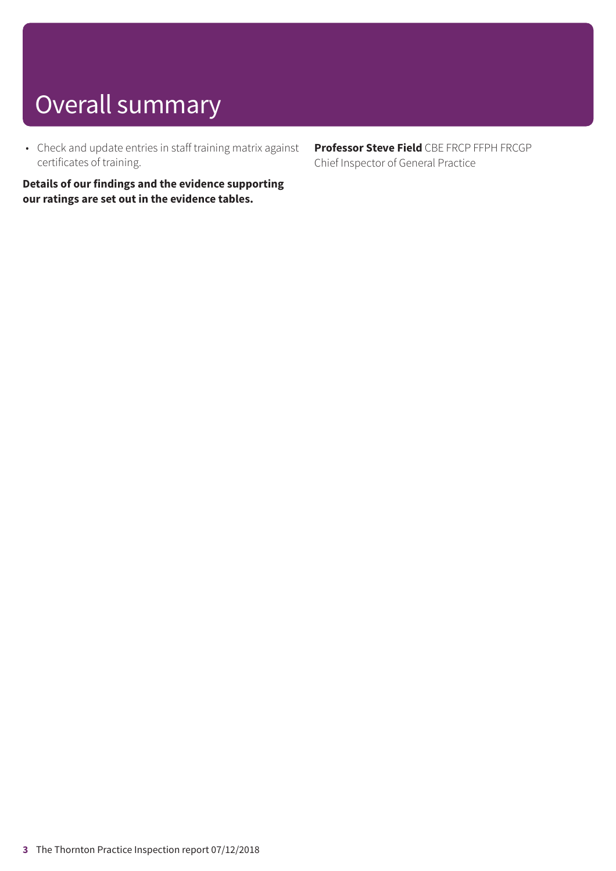# Overall summary

• Check and update entries in staff training matrix against certificates of training.

**Details of our findings and the evidence supporting our ratings are set out in the evidence tables.**

**Professor Steve Field** CBE FRCP FFPH FRCGP Chief Inspector of General Practice